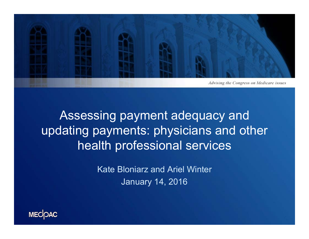

### Assessing payment adequacy and updating payments: physicians and other health professional services

Kate Bloniarz and Ariel WinterJanuary 14, 2016

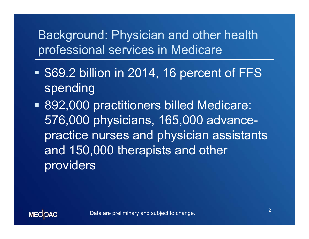#### Background: Physician and other health professional services in Medicare

- Ŧ **S69.2 billion in 2014, 16 percent of FFS** spending
- 892,000 practitioners billed Medicare: 576,000 physicians, 165,000 advancepractice nurses and physician assistants and 150,000 therapists and other providers

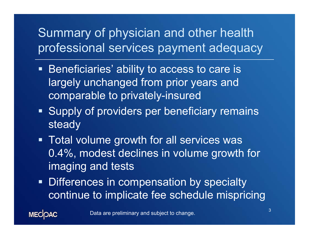## Summary of physician and other health professional services payment adequacy

- **Beneficiaries' ability to access to care is** largely unchanged from prior years and comparable to privately-insured
- **Supply of providers per beneficiary remains** steady
- **Total volume growth for all services was** 0.4%, modest declines in volume growth for imaging and tests
- **Differences in compensation by specialty** continue to implicate fee schedule mispricing

Data are preliminary and subject to change.

**MECOAC**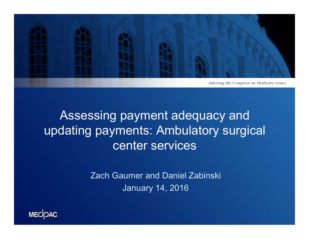

### Assessing payment adequacy and updating payments: Ambulatory surgical center services

Zach Gaumer and Daniel Zabinski January 14, 2016

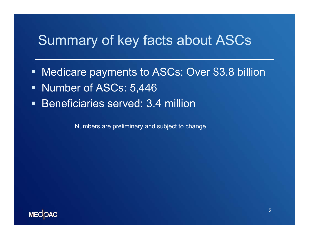#### Summary of key facts about ASCs

- $\blacksquare$ Medicare payments to ASCs: Over \$3.8 billion
- **Number of ASCs: 5,446**
- $\blacksquare$ Beneficiaries served: 3.4 million

Numbers are preliminary and subject to change

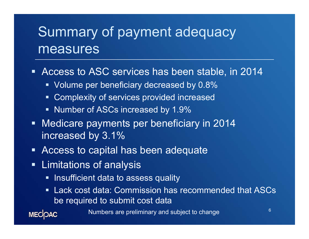# Summary of payment adequacy measures

 $\blacksquare$ Access to ASC services has been stable, in 2014

- **Volume per beneficiary decreased by 0.8%**
- **Complexity of services provided increased**
- **Number of ASCs increased by 1.9%**
- **Nedicare payments per beneficiary in 2014** increased by 3.1%
- $\blacksquare$ Access to capital has been adequate
- **Example 1** Limitations of analysis

**MECOAC** 

- **-** Insufficient data to assess quality
- Lack cost data: Commission has recommended that ASCs be required to submit cost data

Numbers are preliminary and subject to change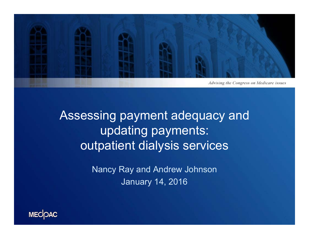

Advising the Congress on Medicare issues

Assessing payment adequacy and updating payments: outpatient dialysis services

> Nancy Ray and Andrew Johnson January 14, 2016

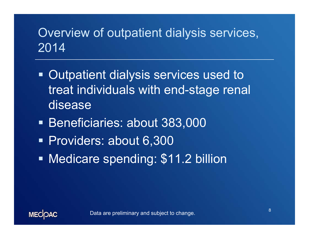## Overview of outpatient dialysis services, 2014

- **Outpatient dialysis services used to** treat individuals with end-stage renal disease
- **Beneficiaries: about 383,000**
- Providers: about 6,300
- Ŧ Medicare spending: \$11.2 billion

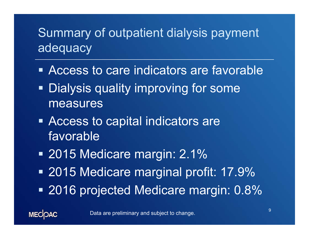## Summary of outpatient dialysis payment adequacy

- **Example 2 Access to care indicators are favorable**
- **Dialysis quality improving for some** measures
- **Example 2 Access to capital indicators are** favorable
- 2015 Medicare margin: 2.1%
- 2015 Medicare marginal profit: 17.9%
- 2016 projected Medicare margin: 0.8%

**MECOAC**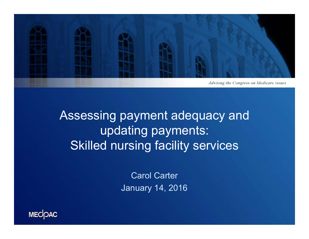

Assessing payment adequacy and updating payments: Skilled nursing facility services

> Carol Carter January 14, 2016

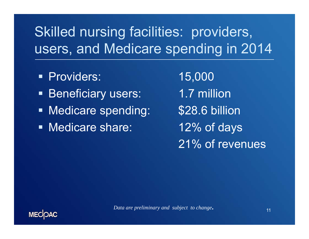# Skilled nursing facilities: providers, users, and Medicare spending in 2014

- Providers: 15,000
- **Beneficiary users:** 1.7 million
- Ξ **Nedicare spending:** \$28.6 billion
- Medicare share: 12% of days

21% of revenues

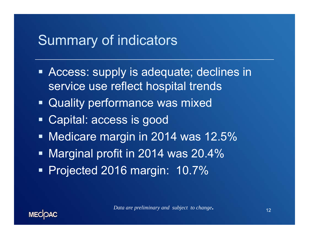### Summary of indicators

- **Access: supply is adequate; declines in** service use reflect hospital trends
- Quality performance was mixed
- Ξ Capital: access is good
- **Medicare margin in 2014 was 12.5%**
- Marginal profit in 2014 was 20.4%
- Projected 2016 margin: 10.7%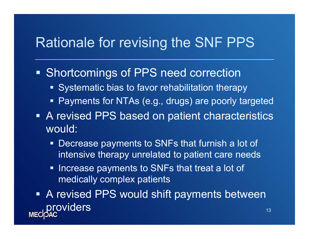#### Rationale for revising the SNF PPS

**Shortcomings of PPS need correction** 

- **Systematic bias to favor rehabilitation therapy**
- $\blacksquare$ Payments for NTAs (e.g., drugs) are poorly targeted
- **A revised PPS based on patient characteristics** would:
	- $\blacksquare$  Decrease payments to SNFs that furnish a lot of intensive therapy unrelated to patient care needs
	- $\blacksquare$  Increase payments to SNFs that treat a lot of medically complex patients
- **A revised PPS would shift payments between** providers and the state of the state of the state  $\frac{13}{13}$ **MEC**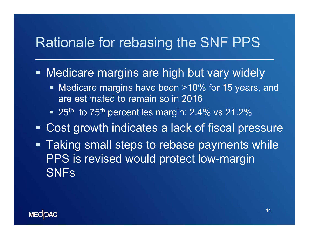## Rationale for rebasing the SNF PPS

**• Medicare margins are high but vary widely** 

- **Nedicare margins have been >10% for 15 years, and** are estimated to remain so in 2016
- 25<sup>th</sup> to 75<sup>th</sup> percentiles margin: 2.4% vs 21.2%
- Cost growth indicates a lack of fiscal pressure
- **Taking small steps to rebase payments while** PPS is revised would protect low-margin **SNFs**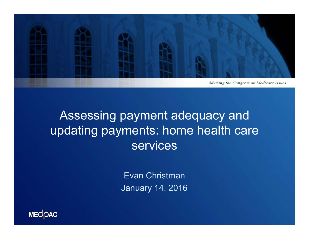

#### Assessing payment adequacy and updating payments: home health care services

Evan Christman January 14, 2016

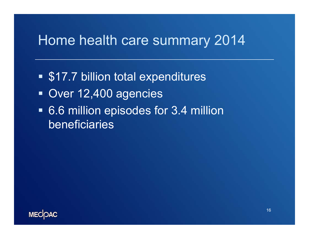## Home health care summary 2014

- **S17.7 billion total expenditures**
- Over 12,400 agencies
- 6.6 million episodes for 3.4 million beneficiaries

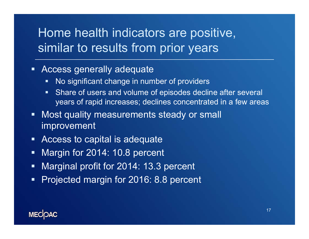#### Home health indicators are positive, similar to results from prior years

#### **Access generally adequate**

- $\blacksquare$ No significant change in number of providers
- $\blacksquare$  Share of users and volume of episodes decline after several years of rapid increases; declines concentrated in a few areas
- $\blacksquare$  Most quality measurements steady or small improvement
- $\blacksquare$ Access to capital is adequate
- $\blacksquare$ Margin for 2014: 10.8 percent
- $\blacksquare$ Marginal profit for 2014: 13.3 percent
- $\blacksquare$ Projected margin for 2016: 8.8 percent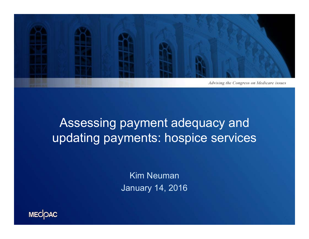

## Assessing payment adequacy and updating payments: hospice services

Kim NeumanJanuary 14, 2016

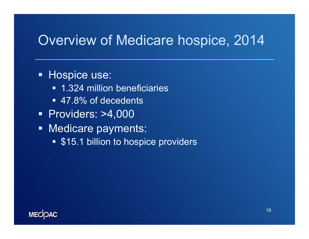### Overview of Medicare hospice, 2014

#### **Hospice use:**

- **1.324 million beneficiaries**
- 47.8% of decedents
- Providers: >4,000
- **Medicare payments:** 
	- **S15.1 billion to hospice providers**

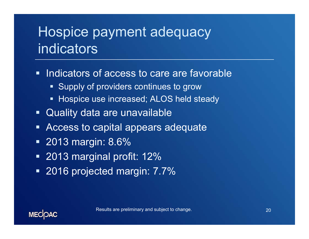# Hospice payment adequacy indicators

- $\blacksquare$  Indicators of access to care are favorable
	- **-** Supply of providers continues to grow
	- $\blacksquare$ Hospice use increased; ALOS held steady
- Quality data are unavailable
- **EXPLEM** Access to capital appears adequate
- 2013 margin: 8.6%
- 2013 marginal profit: 12%
- 2016 projected margin: 7.7%

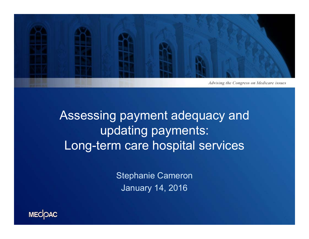

Assessing payment adequacy and updating payments: Long-term care hospital services

> Stephanie Cameron January 14, 2016

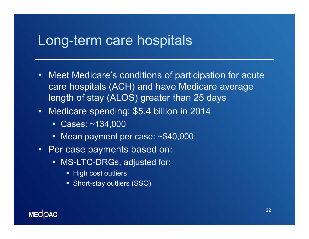#### Long-term care hospitals

- Meet Medicare's conditions of participation for acute care hospitals (ACH) and have Medicare average length of stay (ALOS) greater than 25 days
- $\blacksquare$  Medicare spending: \$5.4 billion in 2014
	- Cases: ~134,000
	- Mean payment per case: ~\$40,000
- $\blacksquare$  . Per case payments based on:
	- MS-LTC-DRGs, adjusted for:
		- High cost outliers
		- Short-stay outliers (SSO)

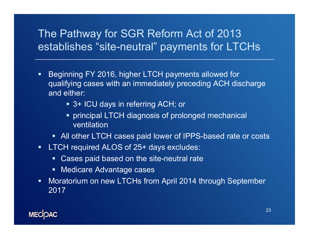#### The Pathway for SGR Reform Act of 2013 establishes "site-neutral" payments for LTCHs

- $\blacksquare$  Beginning FY 2016, higher LTCH payments allowed for qualifying cases with an immediately preceding ACH discharge and either:
	- 3+ ICU days in referring ACH; or
	- **Perincipal LTCH diagnosis of prolonged mechanical** ventilation
	- All other LTCH cases paid lower of IPPS-based rate or costs
- $\blacksquare$ LTCH required ALOS of 25+ days excludes:
	- Cases paid based on the site-neutral rate
	- **Medicare Advantage cases**
- $\blacksquare$  Moratorium on new LTCHs from April 2014 through September 2017

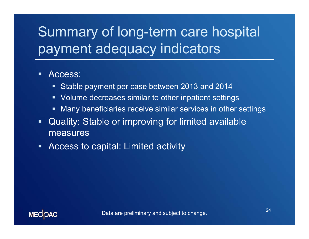# Summary of long-term care hospital payment adequacy indicators

#### $\blacksquare$ Access:

- Stable payment per case between 2013 and 2014
- Volume decreases similar to other inpatient settings
- $\blacksquare$ Many beneficiaries receive similar services in other settings
- $\blacksquare$  Quality: Stable or improving for limited available measures
- $\blacksquare$ Access to capital: Limited activity